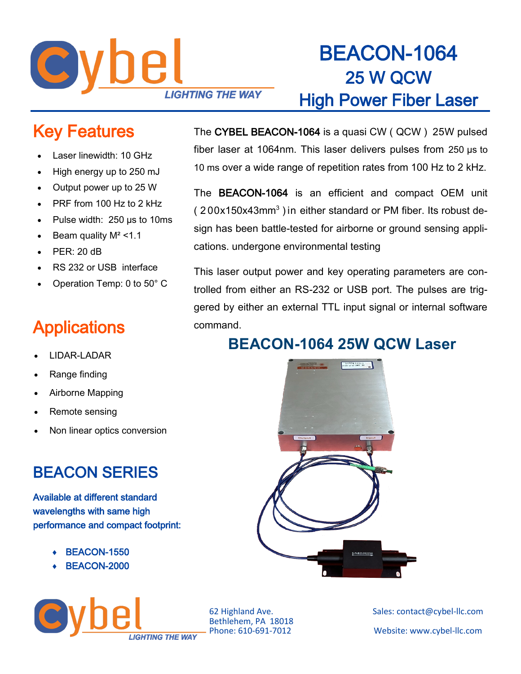

## BEACON-1064 25 W QCW High Power Fiber Laser

### Key Features

- Laser linewidth: 10 GHz
- High energy up to 250 mJ
- Output power up to 25 W
- PRF from 100 Hz to 2 kHz
- Pulse width: 250 µs to 10ms
- Beam quality  $M^2 < 1.1$
- PER: 20 dB
- RS 232 or USB interface
- Operation Temp: 0 to 50° C

### **Applications**

- LIDAR-LADAR
- Range finding
- Airborne Mapping
- Remote sensing
- Non linear optics conversion

#### BEACON SERIES

Available at different standard wavelengths with same high performance and compact footprint:

**I IGHTING THE WAY** 

- BEACON-1550
- BEACON-2000



The CYBEL BEACON-1064 is a quasi CW ( QCW ) 25W pulsed

fiber laser at 1064nm. This laser delivers pulses from 250 µs to

trolled from either an RS-232 or USB port. The pulses are triggered by either an external TTL input signal or internal software command.

#### **BEACON-1064 25W QCW Laser**



Bethlehem, PA 18018

62 Highland Ave. Sales: contact@cybel-llc.com Website: www.cybel-llc.com